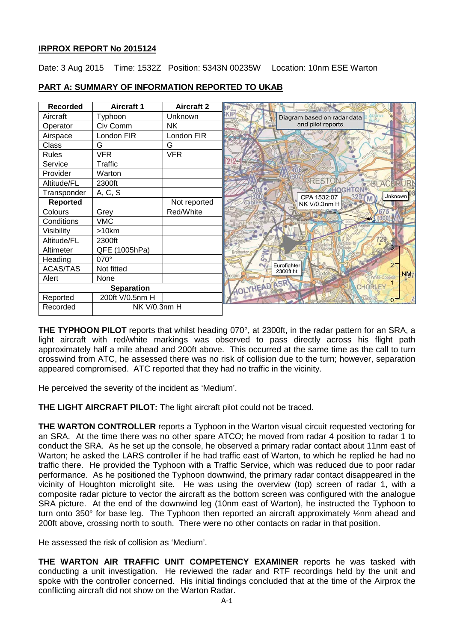# **IRPROX REPORT No 2015124**

Date: 3 Aug 2015 Time: 1532Z Position: 5343N 00235W Location: 10nm ESE Warton

| <b>Recorded</b>   | <b>Aircraft 1</b> | <b>Aircraft 2</b> |                                            |
|-------------------|-------------------|-------------------|--------------------------------------------|
| Aircraft          | Typhoon           | Unknown           | KIP<br>Diagram based on radar data         |
| Operator          | Civ Comm          | NΚ                | and pilot reports                          |
| Airspace          | London FIR        | London FIR        |                                            |
| Class             | G                 | G                 |                                            |
| <b>Rules</b>      | <b>VFR</b>        | <b>VFR</b>        |                                            |
| Service           | Traffic           |                   |                                            |
| Provider          | Warton            |                   |                                            |
| Altitude/FL       | 2300ft            |                   | <b>PREST</b><br>AC                         |
| Transponder       | A, C, S           |                   | Unknown<br>CPA 1532:07                     |
| <b>Reported</b>   |                   | Not reported      | cab<br>NK V/0.3nm H                        |
| Colours           | Grey              | Red/White         |                                            |
| Conditions        | <b>VMC</b>        |                   | (300)                                      |
| Visibility        | >10km             |                   |                                            |
| Altitude/FL       | 2300ft            |                   |                                            |
| Altimeter         | QFE (1005hPa)     |                   | <b>N<sub>o</sub></b>                       |
| Heading           | 070°              |                   | $\overline{a}$                             |
| <b>ACAS/TAS</b>   | Not fitted        |                   | Eurofighter<br>$2^{-}$<br>2300ft ht        |
| Alert             | None              |                   | NM <sub>7</sub><br>rostor<br>White Coppice |
| <b>Separation</b> |                   |                   | HOLYHEADASR<br>CHORLEY                     |
| Reported          | 200ft V/0.5nm H   |                   | 0 <sup>7</sup>                             |
| Recorded          | NK V/0.3nm H      |                   |                                            |

# **PART A: SUMMARY OF INFORMATION REPORTED TO UKAB**

**THE TYPHOON PILOT** reports that whilst heading 070°, at 2300ft, in the radar pattern for an SRA, a light aircraft with red/white markings was observed to pass directly across his flight path approximately half a mile ahead and 200ft above. This occurred at the same time as the call to turn crosswind from ATC, he assessed there was no risk of collision due to the turn; however, separation appeared compromised. ATC reported that they had no traffic in the vicinity.

He perceived the severity of the incident as 'Medium'.

**THE LIGHT AIRCRAFT PILOT:** The light aircraft pilot could not be traced.

**THE WARTON CONTROLLER** reports a Typhoon in the Warton visual circuit requested vectoring for an SRA. At the time there was no other spare ATCO; he moved from radar 4 position to radar 1 to conduct the SRA. As he set up the console, he observed a primary radar contact about 11nm east of Warton; he asked the LARS controller if he had traffic east of Warton, to which he replied he had no traffic there. He provided the Typhoon with a Traffic Service, which was reduced due to poor radar performance. As he positioned the Typhoon downwind, the primary radar contact disappeared in the vicinity of Houghton microlight site. He was using the overview (top) screen of radar 1, with a composite radar picture to vector the aircraft as the bottom screen was configured with the analogue SRA picture. At the end of the downwind leg (10nm east of Warton), he instructed the Typhoon to turn onto 350° for base leg. The Typhoon then reported an aircraft approximately ½nm ahead and 200ft above, crossing north to south. There were no other contacts on radar in that position.

He assessed the risk of collision as 'Medium'.

**THE WARTON AIR TRAFFIC UNIT COMPETENCY EXAMINER** reports he was tasked with conducting a unit investigation. He reviewed the radar and RTF recordings held by the unit and spoke with the controller concerned. His initial findings concluded that at the time of the Airprox the conflicting aircraft did not show on the Warton Radar.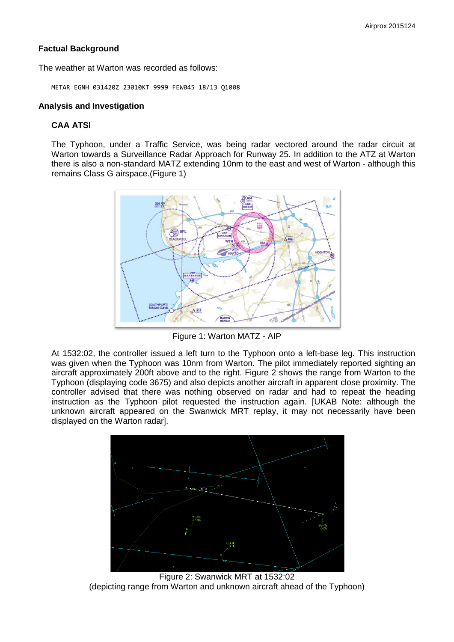# **Factual Background**

The weather at Warton was recorded as follows:

METAR EGNH 031420Z 23010KT 9999 FEW045 18/13 Q1008

#### **Analysis and Investigation**

### **CAA ATSI**

The Typhoon, under a Traffic Service, was being radar vectored around the radar circuit at Warton towards a Surveillance Radar Approach for Runway 25. In addition to the ATZ at Warton there is also a non-standard MATZ extending 10nm to the east and west of Warton - although this remains Class G airspace.(Figure 1)



Figure 1: Warton MATZ - AIP

At 1532:02, the controller issued a left turn to the Typhoon onto a left-base leg. This instruction was given when the Typhoon was 10nm from Warton. The pilot immediately reported sighting an aircraft approximately 200ft above and to the right. Figure 2 shows the range from Warton to the Typhoon (displaying code 3675) and also depicts another aircraft in apparent close proximity. The controller advised that there was nothing observed on radar and had to repeat the heading instruction as the Typhoon pilot requested the instruction again. [UKAB Note: although the unknown aircraft appeared on the Swanwick MRT replay, it may not necessarily have been displayed on the Warton radar].



Figure 2: Swanwick MRT at 1532:02 (depicting range from Warton and unknown aircraft ahead of the Typhoon)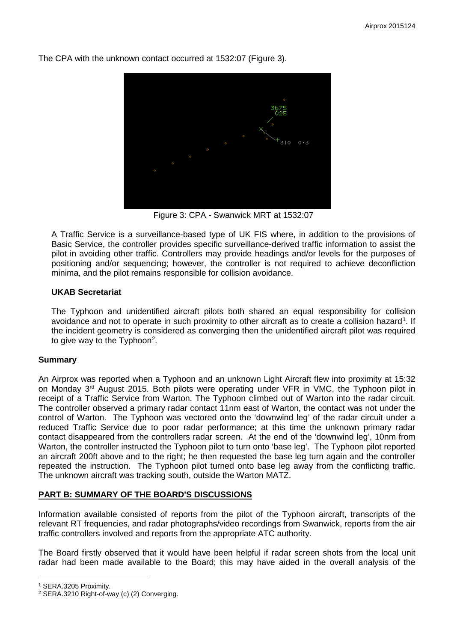

The CPA with the unknown contact occurred at 1532:07 (Figure 3).

Figure 3: CPA - Swanwick MRT at 1532:07

A Traffic Service is a surveillance-based type of UK FIS where, in addition to the provisions of Basic Service, the controller provides specific surveillance-derived traffic information to assist the pilot in avoiding other traffic. Controllers may provide headings and/or levels for the purposes of positioning and/or sequencing; however, the controller is not required to achieve deconfliction minima, and the pilot remains responsible for collision avoidance.

# **UKAB Secretariat**

The Typhoon and unidentified aircraft pilots both shared an equal responsibility for collision avoidance and not to operate in such proximity to other aircraft as to create a collision hazard<sup>[1](#page-2-0)</sup>. If the incident geometry is considered as converging then the unidentified aircraft pilot was required to give way to the Typhoon<sup>[2](#page-2-1)</sup>.

# **Summary**

An Airprox was reported when a Typhoon and an unknown Light Aircraft flew into proximity at 15:32 on Monday 3rd August 2015. Both pilots were operating under VFR in VMC, the Typhoon pilot in receipt of a Traffic Service from Warton. The Typhoon climbed out of Warton into the radar circuit. The controller observed a primary radar contact 11nm east of Warton, the contact was not under the control of Warton. The Typhoon was vectored onto the 'downwind leg' of the radar circuit under a reduced Traffic Service due to poor radar performance; at this time the unknown primary radar contact disappeared from the controllers radar screen. At the end of the 'downwind leg', 10nm from Warton, the controller instructed the Typhoon pilot to turn onto 'base leg'. The Typhoon pilot reported an aircraft 200ft above and to the right; he then requested the base leg turn again and the controller repeated the instruction. The Typhoon pilot turned onto base leg away from the conflicting traffic. The unknown aircraft was tracking south, outside the Warton MATZ.

# **PART B: SUMMARY OF THE BOARD'S DISCUSSIONS**

Information available consisted of reports from the pilot of the Typhoon aircraft, transcripts of the relevant RT frequencies, and radar photographs/video recordings from Swanwick, reports from the air traffic controllers involved and reports from the appropriate ATC authority.

The Board firstly observed that it would have been helpful if radar screen shots from the local unit radar had been made available to the Board; this may have aided in the overall analysis of the

l <sup>1</sup> SERA.3205 Proximity.

<span id="page-2-1"></span><span id="page-2-0"></span><sup>2</sup> SERA.3210 Right-of-way (c) (2) Converging.